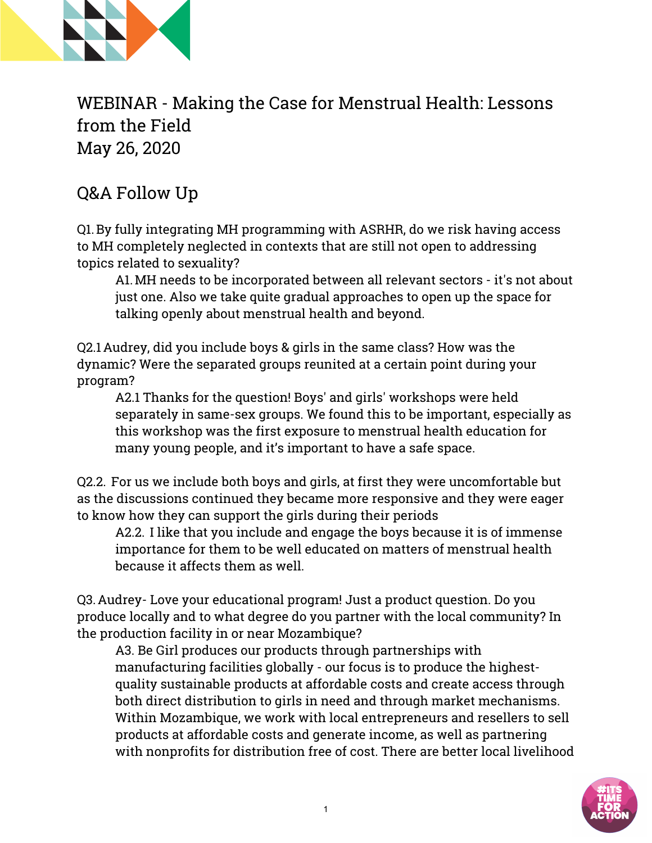

WEBINAR - Making the Case for Menstrual Health: Lessons from the Field May 26, 2020

## Q&A Follow Up

Q1.By fully integrating MH programming with ASRHR, do we risk having access to MH completely neglected in contexts that are still not open to addressing topics related to sexuality?

A1.MH needs to be incorporated between all relevant sectors - it's not about just one. Also we take quite gradual approaches to open up the space for talking openly about menstrual health and beyond.

Q2.1Audrey, did you include boys & girls in the same class? How was the dynamic? Were the separated groups reunited at a certain point during your program?

A2.1 Thanks for the question! Boys' and girls' workshops were held separately in same-sex groups. We found this to be important, especially as this workshop was the first exposure to menstrual health education for many young people, and it's important to have a safe space.

Q2.2. For us we include both boys and girls, at first they were uncomfortable but as the discussions continued they became more responsive and they were eager to know how they can support the girls during their periods

A2.2. I like that you include and engage the boys because it is of immense importance for them to be well educated on matters of menstrual health because it affects them as well.

Q3.Audrey- Love your educational program! Just a product question. Do you produce locally and to what degree do you partner with the local community? In the production facility in or near Mozambique?

A3. Be Girl produces our products through partnerships with manufacturing facilities globally - our focus is to produce the highestquality sustainable products at affordable costs and create access through both direct distribution to girls in need and through market mechanisms. Within Mozambique, we work with local entrepreneurs and resellers to sell products at affordable costs and generate income, as well as partnering with nonprofits for distribution free of cost. There are better local livelihood

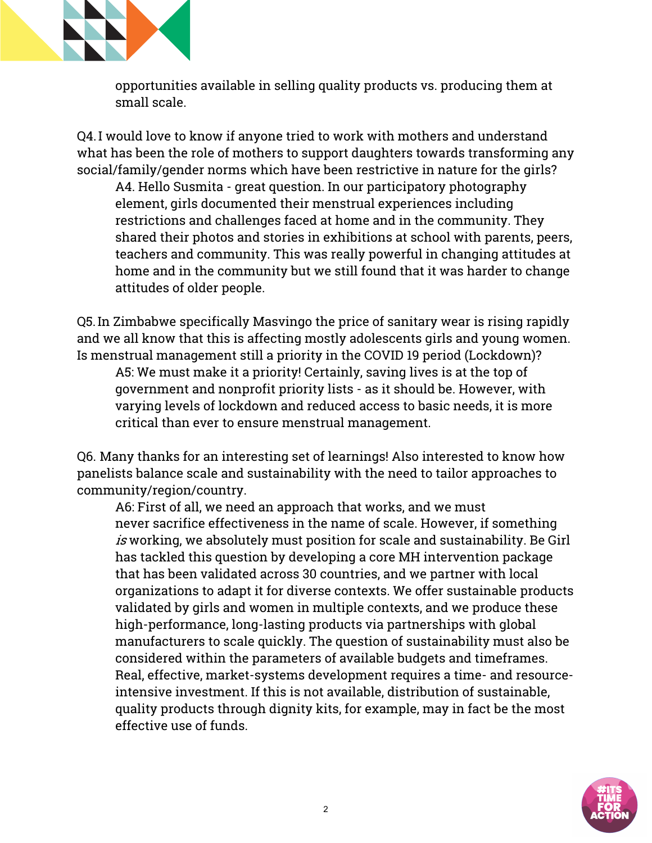

opportunities available in selling quality products vs. producing them at small scale.

Q4.I would love to know if anyone tried to work with mothers and understand what has been the role of mothers to support daughters towards transforming any social/family/gender norms which have been restrictive in nature for the girls? A4. Hello Susmita - great question. In our participatory photography element, girls documented their menstrual experiences including restrictions and challenges faced at home and in the community. They shared their photos and stories in exhibitions at school with parents, peers, teachers and community. This was really powerful in changing attitudes at home and in the community but we still found that it was harder to change attitudes of older people.

Q5.In Zimbabwe specifically Masvingo the price of sanitary wear is rising rapidly and we all know that this is affecting mostly adolescents girls and young women. Is menstrual management still a priority in the COVID 19 period (Lockdown)? A5: We must make it a priority! Certainly, saving lives is at the top of government and nonprofit priority lists - as it should be. However, with varying levels of lockdown and reduced access to basic needs, it is more critical than ever to ensure menstrual management.

Q6. Many thanks for an interesting set of learnings! Also interested to know how panelists balance scale and sustainability with the need to tailor approaches to community/region/country.

A6: First of all, we need an approach that works, and we must never sacrifice effectiveness in the name of scale. However, if something is working, we absolutely must position for scale and sustainability. Be Girl has tackled this question by developing a core MH intervention package that has been validated across 30 countries, and we partner with local organizations to adapt it for diverse contexts. We offer sustainable products validated by girls and women in multiple contexts, and we produce these high-performance, long-lasting products via partnerships with global manufacturers to scale quickly. The question of sustainability must also be considered within the parameters of available budgets and timeframes. Real, effective, market-systems development requires a time- and resourceintensive investment. If this is not available, distribution of sustainable, quality products through dignity kits, for example, may in fact be the most effective use of funds.

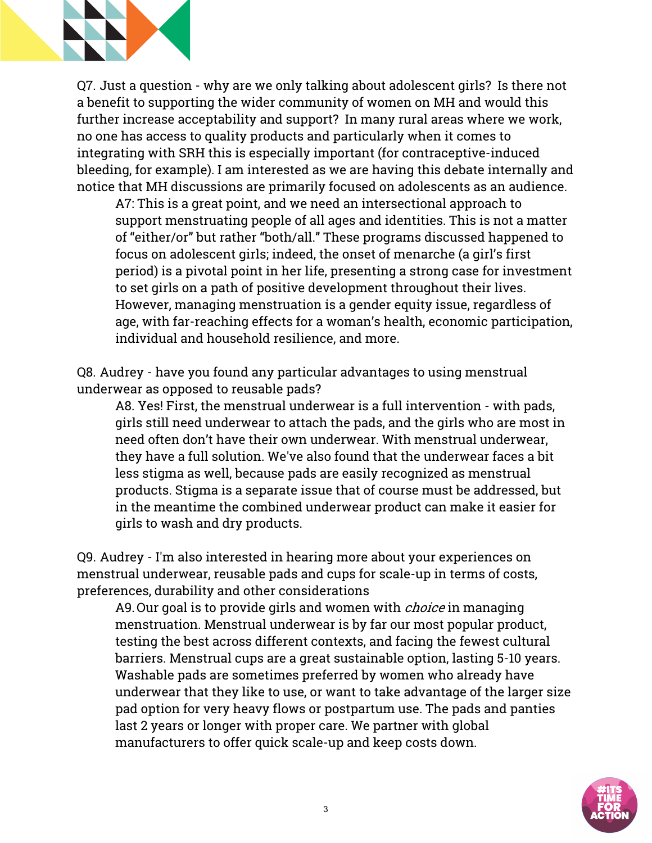

Q7. Just a question - why are we only talking about adolescent girls? Is there not a benefit to supporting the wider community of women on MH and would this further increase acceptability and support? In many rural areas where we work, no one has access to quality products and particularly when it comes to integrating with SRH this is especially important (for contraceptive-induced bleeding, for example). I am interested as we are having this debate internally and notice that MH discussions are primarily focused on adolescents as an audience.

A7: This is a great point, and we need an intersectional approach to support menstruating people of all ages and identities. This is not a matter of "either/or" but rather "both/all." These programs discussed happened to focus on adolescent girls; indeed, the onset of menarche (a girl's first period) is a pivotal point in her life, presenting a strong case for investment to set girls on a path of positive development throughout their lives. However, managing menstruation is a gender equity issue, regardless of age, with far-reaching effects for a woman's health, economic participation, individual and household resilience, and more.

Q8. Audrey - have you found any particular advantages to using menstrual underwear as opposed to reusable pads?

A8. Yes! First, the menstrual underwear is a full intervention - with pads, girls still need underwear to attach the pads, and the girls who are most in need often don't have their own underwear. With menstrual underwear, they have a full solution. We've also found that the underwear faces a bit less stigma as well, because pads are easily recognized as menstrual products. Stigma is a separate issue that of course must be addressed, but in the meantime the combined underwear product can make it easier for girls to wash and dry products.

Q9. Audrey - I'm also interested in hearing more about your experiences on menstrual underwear, reusable pads and cups for scale-up in terms of costs, preferences, durability and other considerations

A9. Our goal is to provide girls and women with *choice* in managing menstruation. Menstrual underwear is by far our most popular product, testing the best across different contexts, and facing the fewest cultural barriers. Menstrual cups are a great sustainable option, lasting 5-10 years. Washable pads are sometimes preferred by women who already have underwear that they like to use, or want to take advantage of the larger size pad option for very heavy flows or postpartum use. The pads and panties last 2 years or longer with proper care. We partner with global manufacturers to offer quick scale-up and keep costs down.